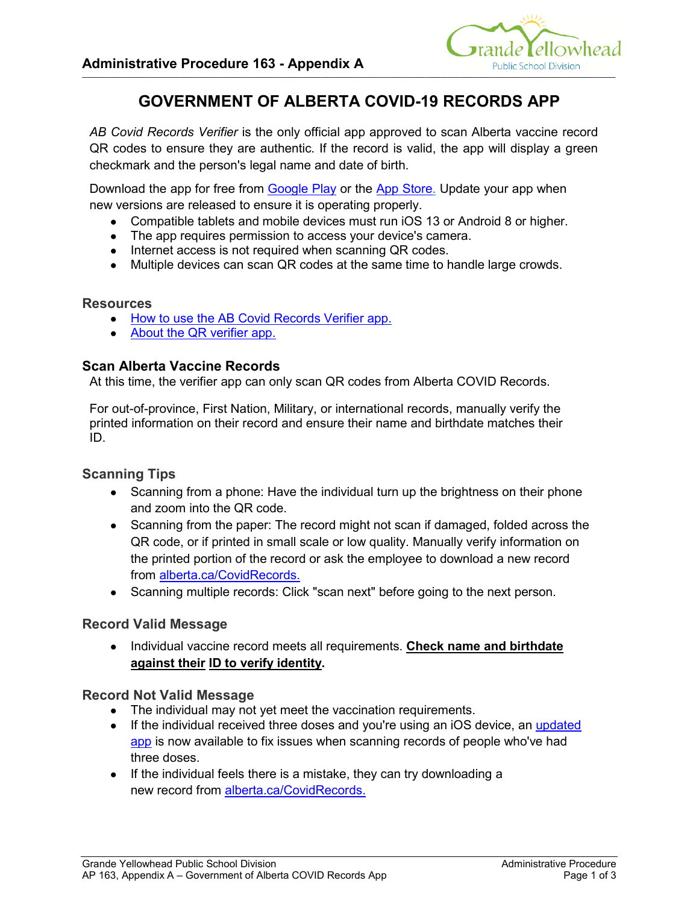

# **GOVERNMENT OF ALBERTA COVID-19 RECORDS APP**

*AB Covid Records Verifier* is the only official app approved to scan Alberta vaccine record QR codes to ensure they are authentic. If the record is valid, the app will display a green checkmark and the person's legal name and date of birth.

Download the app for free from Google Play or the App Store. Update your app when new versions are released to ensure it is operating properly.

- Compatible tablets and mobile devices must run iOS 13 or Android 8 or higher.
- The app requires permission to access your device's camera.
- Internet access is not required when scanning QR codes.
- Multiple devices can scan QR codes at the same time to handle large crowds.

#### **Resources**

- How to use the AB Covid Records Verifier app.
- About the QR verifier app.

### **Scan Alberta Vaccine Records**

At this time, the verifier app can only scan QR codes from Alberta COVID Records.

For out-of-province, First Nation, Military, or international records, manually verify the printed information on their record and ensure their name and birthdate matches their ID.

### **Scanning Tips**

- Scanning from a phone: Have the individual turn up the brightness on their phone and zoom into the QR code.
- Scanning from the paper: The record might not scan if damaged, folded across the QR code, or if printed in small scale or low quality. Manually verify information on the printed portion of the record or ask the employee to download a new record from alberta.ca/CovidRecords.
- Scanning multiple records: Click "scan next" before going to the next person.

### **Record Valid Message**

● Individual vaccine record meets all requirements. **Check name and birthdate against their ID to verify identity.**

#### **Record Not Valid Message**

- The individual may not yet meet the vaccination requirements.
- If the individual received three doses and you're using an iOS device, an updated app is now available to fix issues when scanning records of people who've had three doses.
- If the individual feels there is a mistake, they can try downloading a new record from alberta.ca/CovidRecords.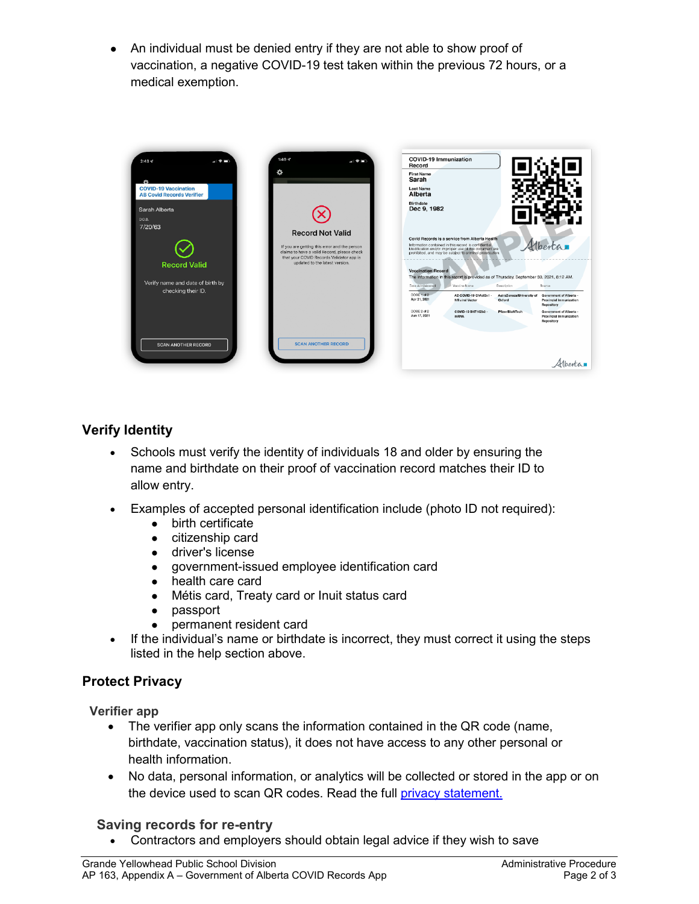An individual must be denied entry if they are not able to show proof of vaccination, a negative COVID-19 test taken within the previous 72 hours, or a medical exemption.



# **Verify Identity**

- Schools must verify the identity of individuals 18 and older by ensuring the name and birthdate on their proof of vaccination record matches their ID to allow entry.
- Examples of accepted personal identification include (photo ID not required):
	- birth certificate
		- citizenship card
		- driver's license
		- government-issued employee identification card
		- health care card
		- Métis card, Treaty card or Inuit status card
		- passport
		- permanent resident card
- If the individual's name or birthdate is incorrect, they must correct it using the steps listed in the help section above.

### **Protect Privacy**

**Verifier app**

- The verifier app only scans the information contained in the QR code (name, birthdate, vaccination status), it does not have access to any other personal or health information.
- No data, personal information, or analytics will be collected or stored in the app or on the device used to scan QR codes. Read the full privacy statement.

### **Saving records for re-entry**

• Contractors and employers should obtain legal advice if they wish to save